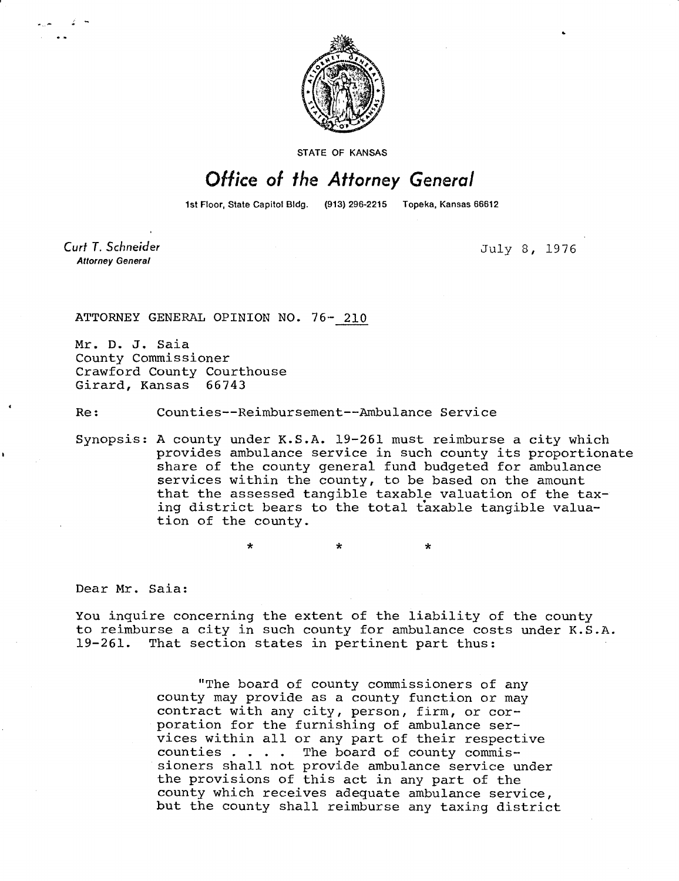

STATE OF KANSAS

## Office of the Attorney General

1st Floor, State Capitol Bldg. (913) 296-2215 Topeka, Kansas 66612

Curt T. Schneider **Attorney General** 

July 8, 1976

ATTORNEY GENERAL OPINION NO. 76- 210

Mr. D. J. Saia County Commissioner Crawford County Courthouse Girard, Kansas 66743

Re: Counties--Reimbursement--Ambulance Service

Synopsis: A county under K.S.A. 19-261 must reimburse a city which provides ambulance service in such county its proportionate share of the county general fund budgeted for ambulance services within the county, to be based on the amount that the assessed tangible taxable valuation of the taxing district bears to the total taxable tangible valuation of the county.

Dear Mr. Saia:

You inquire concerning the extent of the liability of the county to reimburse a city in such county for ambulance costs under K.S.A. 19-261. That section states in pertinent part thus:

> "The board of county commissioners of any county may provide as a county function or may contract with any city, person, firm, or corporation for the furnishing of ambulance services within all or any part of their respective counties . . . . The board of county commissioners shall not provide ambulance service under the provisions of this act in any part of the county which receives adequate ambulance service, but the county shall reimburse any taxing district